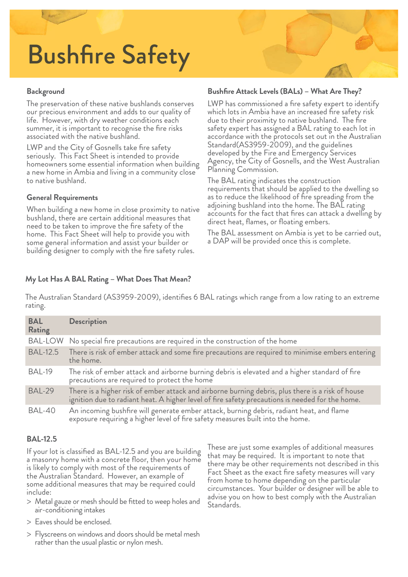# Bushfire Safety

## **Background**

The preservation of these native bushlands conserves our precious environment and adds to our quality of life. However, with dry weather conditions each summer, it is important to recognise the fire risks associated with the native bushland.

LWP and the City of Gosnells take fire safety seriously. This Fact Sheet is intended to provide homeowners some essential information when building a new home in Ambia and living in a community close to native bushland.

## **General Requirements**

When building a new home in close proximity to native bushland, there are certain additional measures that need to be taken to improve the fire safety of the home. This Fact Sheet will help to provide you with some general information and assist your builder or building designer to comply with the fire safety rules.

#### Bushfire Attack Levels (BALs) - What Are They?

LWP has commissioned a fire safety expert to identify which lots in Ambia have an increased fire safety risk due to their proximity to native bushland. The fire safety expert has assigned a BAL rating to each lot in accordance with the protocols set out in the Australian Standard(AS3959-2009), and the guidelines developed by the Fire and Emergency Services Agency, the City of Gosnells, and the West Australian Planning Commission.

The BAL rating indicates the construction requirements that should be applied to the dwelling so as to reduce the likelihood of fire spreading from the<br>adjoining bushland into the home. The BAL rating accounts for the fact that fires can attack a dwelling by direct heat, flames, or floating embers.

The BAL assessment on Ambia is yet to be carried out, a DAP will be provided once this is complete.

## **My Lot Has A BAL Rating – What Does That Mean?**

The Australian Standard (AS3959-2009), identifies 6 BAL ratings which range from a low rating to an extreme rating.

| <b>BAL</b><br>Rating | <b>Description</b>                                                                                                                                                                                   |
|----------------------|------------------------------------------------------------------------------------------------------------------------------------------------------------------------------------------------------|
|                      | BAL-LOW No special fire precautions are required in the construction of the home                                                                                                                     |
| <b>BAL-12.5</b>      | There is risk of ember attack and some fire precautions are required to minimise embers entering<br>the home.                                                                                        |
| BAL-19               | The risk of ember attack and airborne burning debris is elevated and a higher standard of fire<br>precautions are required to protect the home                                                       |
| <b>BAL-29</b>        | There is a higher risk of ember attack and airborne burning debris, plus there is a risk of house<br>ignition due to radiant heat. A higher level of fire safety precautions is needed for the home. |
| BAL-40               | An incoming bushfire will generate ember attack, burning debris, radiant heat, and flame<br>exposure requiring a higher level of fire safety measures built into the home.                           |

#### **BAL-12.5**

If your lot is classified as BAL-12.5 and you are building<br>a masonry home with a concrete floor, then your home<br>is likely to comply with most of the requirements of the Australian Standard. However, an example of some additional measures that may be required could include:

- > Metal gauze or mesh should be fitted to weep holes and air-conditioning intakes
- > Eaves should be enclosed.
- > Flyscreens on windows and doors should be metal mesh rather than the usual plastic or nylon mesh.

These are just some examples of additional measures that may be required. It is important to note that there may be other requirements not described in this Fact Sheet as the exact fire safety measures will vary from home to home depending on the particular circumstances. Your builder or designer will be able to advise you on how to best comply with the Australian Standards.